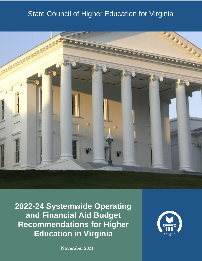# State Council of Higher Education for Virginia



**2022-24 Systemwide Operating and Financial Aid Budget Recommendations for Higher Education in Virginia**

**November 2021**

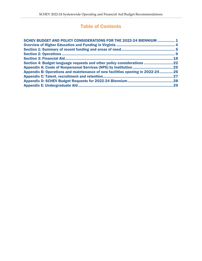# Table of Contents

| SCHEV BUDGET AND POLICY CONSIDERATIONS FOR THE 2022-24 BIENNIUM  1            |     |
|-------------------------------------------------------------------------------|-----|
|                                                                               |     |
|                                                                               |     |
|                                                                               |     |
|                                                                               | .18 |
| Section 4: Budget language requests and other policy considerations  22       |     |
|                                                                               |     |
| Appendix B: Operations and maintenance of new facilities opening in 2022-2426 |     |
|                                                                               | .27 |
|                                                                               |     |
|                                                                               |     |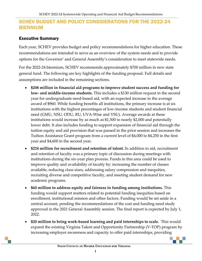# <span id="page-2-0"></span>SCHEV BUDGET AND POLICY CONSIDERATIONS FOR THE 2022-24 BIENNIUM

#### Executive Summary

Each year, SCHEV provides budget and policy recommendations for higher education. These recommendations are intended to serve as an overview of the system needs and to provide options for the Governor' and General Assembly's consideration to meet statewide needs.

For the 2022-24 biennium, SCHEV recommends approximately \$700 million in new state general fund. The following are key highlights of the funding proposal. Full details and assumptions are included in the remaining sections.

- **\$208 million in financial aid programs to improve student success and funding for low- and middle-income students.** This includes a \$130 million request in the second year for undergraduate need-based aid, with an expected increase in the average award of \$960. While funding benefits all institutions, the primary increase is at six institutions with the highest percentages of low-income students and student financial need (GMU, NSU, ODU, RU, UVA-Wise and VSU). Average awards at these institutions would increase by as much as \$1,500 to nearly \$2,000 and potentially lower debt. It also includes funding to support expansion of financial aid through the tuition equity and aid provision that was passed in the prior session and increases the Tuition Assistance Grant program from a current level of \$4,000 to \$4,250 in the first year and \$4,600 in the second year.
- **\$224 million for recruitment and retention of talent.** In addition to aid, recruitment and retention of faculty was a primary topic of discussion during meetings with institutions during the six-year plan process. Funds in this area could be used to improve quality and availability of faculty by: increasing the number of classes available, reducing class sizes, addressing salary compression and inequities, recruiting diverse and competitive faculty, and meeting student demand for new academic programs.
- **\$60 million to address equity and fairness in funding among institutions.** This funding would support matters related to potential funding inequities based on enrollment, institutional mission and other factors. Funding would be set aside in a central account, pending the recommendations of the cost and funding need study approved in the 2021 General Assembly session. The final report is expected by July 1, 2022.
- **\$20 million to bring work-based learning and paid internships to scale.** This would expand the existing Virginia Talent and Opportunity Partnership (V-TOP) program by increasing employer awareness and capacity to offer paid internships, providing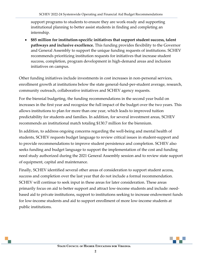support programs to students to ensure they are work-ready and supporting institutional planning to better assist students in finding and completing an internship.

 **\$85 million for institution-specific initiatives that support student success, talent pathways and inclusive excellence.** This funding provides flexibility to the Governor and General Assembly to support the unique funding requests of institutions. SCHEV recommends prioritizing institution requests for initiatives that increase student success, completion, program development in high-demand areas and inclusion initiatives on campus.

Other funding initiatives include investments in cost increases in non-personal services, enrollment growth at institutions below the state general-fund-per-student average, research, community outreach, collaborative initiatives and SCHEV agency requests.

For the biennial budgeting, the funding recommendations in the second year build on increases in the first year and recognize the full impact of the budget over the two years. This allows institutions to plan for more than one year, which leads to improved tuition predictability for students and families. In addition, for several investment areas, SCHEV recommends an institutional match totaling \$130.7 million for the biennium.

In addition, to address ongoing concerns regarding the well-being and mental health of students, SCHEV requests budget language to review critical issues in student-support and to provide recommendations to improve student persistence and completion. SCHEV also seeks funding and budget language to support the implementation of the cost and funding need study authorized during the 2021 General Assembly session and to review state support of equipment, capital and maintenance.

Finally, SCHEV identified several other areas of consideration to support student access, success and completion over the last year that do not include a formal recommendation. SCHEV will continue to seek input in these areas for later consideration. These areas primarily focus on aid to better support and attract low-income students and include: needbased aid to private institutions, support to institutions seeking to increase endowment funds for low-income students and aid to support enrollment of more low-income students at public institutions.

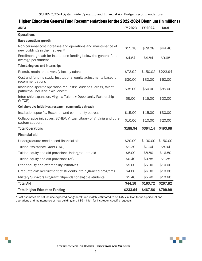| mgnor cuuvativn wonorar runu novemmonuativno for tho 2022-2024 Diomnum (m                           |          |                |              |
|-----------------------------------------------------------------------------------------------------|----------|----------------|--------------|
| <b>AREA</b>                                                                                         | FY 2023  | <b>FY 2024</b> | <b>Total</b> |
| <b>Operations</b>                                                                                   |          |                |              |
| <b>Base operations growth</b>                                                                       |          |                |              |
| Non-personal cost increases and operations and maintenance of<br>new buildings in the first year*   | \$15.18  | \$29.28        | \$44.46      |
| Enrollment growth for institutions funding below the general fund<br>average per student            | \$4.84   | \$4.84         | \$9.68       |
| <b>Talent, degrees and internships</b>                                                              |          |                |              |
| Recruit, retain and diversify faculty talent                                                        | \$73.92  | \$150.02       | \$223.94     |
| Cost and funding study: Institutional equity adjustments based on<br>recommendations                | \$30.00  | \$30.00        | \$60.00      |
| Institution-specific operation requests: Student success, talent<br>pathways, inclusive excellence* | \$35.00  | \$50.00        | \$85.00      |
| Internship expansion: Virginia Talent + Opportunity Partnership<br>$(V-TOP)$                        | \$5.00   | \$15.00        | \$20.00      |
| <b>Collaborative initiatives, research, community outreach</b>                                      |          |                |              |
| Institution-specific: Research and community outreach                                               | \$15.00  | \$15.00        | \$30.00      |
| Collaborative initiatives: SCHEV, Virtual Library of Virginia and other<br>system support           | \$10.00  | \$10.00        | \$20.00      |
| <b>Total Operations</b>                                                                             | \$188.94 | \$304.14       | \$493.08     |
| <b>Financial aid</b>                                                                                |          |                |              |
| Undergraduate need-based financial aid                                                              | \$20.00  | \$130.00       | \$150.00     |
| <b>Tuition Assistance Grant (TAG)</b>                                                               | \$1.30   | \$7.64         | \$8.94       |
| Tuition equity and aid provision: Undergraduate aid                                                 | \$8.00   | \$8.80         | \$16.80      |
| Tuition equity and aid provision: TAG                                                               | \$0.40   | \$0.88         | \$1.28       |
| Other equity and affordability initiatives                                                          | \$5.00   | \$5.00         | \$10.00      |
| Graduate aid: Recruitment of students into high-need programs                                       | \$4.00   | \$6.00         | \$10.00      |
| Military Survivors Program: Stipends for eligible students                                          | \$5.40   | \$5.40         | \$10.80      |
| <b>Total Aid</b>                                                                                    | \$44.10  | \$163.72       | \$207.82     |
| <b>Total Higher Education Funding</b>                                                               | \$233.04 | \$467.86       | \$700.90     |

Higher Education General Fund Recommendations for the 2022-2024 Biennium (in millions)

\*Cost estimates do not include expected nongeneral fund match, estimated to be \$45.7 million for non-personal and operations and maintenance of new building and \$85 million for institution-specific requests.

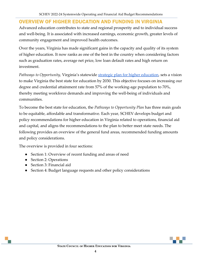### <span id="page-5-0"></span>OVERVIEW OF HIGHER EDUCATION AND FUNDING IN VIRGINIA

Advanced education contributes to state and regional prosperity and to individual success and well-being. It is associated with increased earnings, economic growth, greater levels of community engagement and improved health outcomes.

Over the years, Virginia has made significant gains in the capacity and quality of its system of higher education. It now ranks as one of the best in the country when considering factors such as graduation rates, average net price, low loan default rates and high return on investment.

*Pathways to Opportunity, Virginia's statewide <u>strategic plan for higher education</u>, sets a vision* to make Virginia the best state for education by 2030. This objective focuses on increasing our degree and credential attainment rate from 57% of the working-age population to 70%, thereby meeting workforce demands and improving the well-being of individuals and communities.

To become the best state for education, the *Pathways to Opportunity Plan* has three main goals to be equitable, affordable and transformative. Each year, SCHEV develops budget and policy recommendations for higher education in Virginia related to operations, financial aid and capital, and aligns the recommendations to the plan to better meet state needs. The following provides an overview of the general fund areas, recommended funding amounts and policy considerations.

The overview is provided in four sections:

- Section 1: Overview of recent funding and areas of need
- Section 2: Operations
- Section 3: Financial aid
- Section 4: Budget language requests and other policy considerations

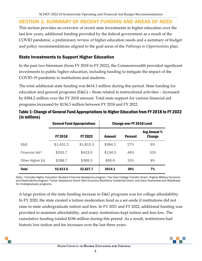### <span id="page-6-0"></span>SECTION 1: SUMMARY OF RECENT FUNDING AND AREAS OF NEED

This section provides an overview of recent state investments in higher education over the last few years, additional funding provided by the federal government as a result of the COVID pandemic, a preliminary review of higher education needs and a summary of budget and policy recommendations aligned to the goal areas of the *Pathways to Opportunities* plan.

### State Investments to Support Higher Education

In the past two biennium (from FY 2018 to FY 2022), the Commonwealth provided significant investments to public higher education, including funding to mitigate the impact of the COVID-19 pandemic to institutions and students.

The total additional state funding was \$614.1 million during this period. State funding for education and general programs (E&G) – those related to instructional activities – increased by \$384.2 million over the FY 2018 amount. Total state support for various financial aid programs increased by \$134.3 million between FY 2018 and FY 2022.

|                  |                | <b>General Fund Appropriations</b> | <b>Change over FY 2018 Level</b> |                |                               |  |
|------------------|----------------|------------------------------------|----------------------------------|----------------|-------------------------------|--|
|                  | <b>FY 2018</b> | FY 2022                            | Amount                           | <b>Percent</b> | Avg Annual %<br><b>Change</b> |  |
| E&G              | \$1,431.2      | \$1,815.3                          | \$384.2                          | 27%            | 6%                            |  |
| Financial Aid*   | \$293.7        | \$423.0                            | \$134.3                          | 46%            | 10%                           |  |
| Other Higher Ed. | \$288.7        | \$389.3                            | \$95.6                           | 33%            | 8%                            |  |
| <b>Total</b>     | \$2,013.6      | \$2,627.7                          | \$614.1                          | 30%            | 7%                            |  |

Table 1: Change of General Fund Appropriations to Higher Education from FY 2018 to FY 2022 (in millions)

Note: \*includes Higher Education Student Financial Assistance program; Two-Year College Transfer Grant; Virginia Military Survivors and Dependents program; Tuition Assistance Grant; New Economy Workforce Credential Grant; and Early Awareness and Readiness for Undergraduate programs.

A large portion of the state funding increase in E&G programs was for college affordability. In FY 2020, the state created a tuition moderation fund as a set-aside if institutions did not raise in-state undergraduate tuition and fees. In FY 2021 and FY 2022, additional funding was provided to maintain affordability, and many institutions kept tuition and fees low. The cumulative funding totaled \$186 million during this period. As a result, institutions had historic low tuition and fee increases over the last three years.

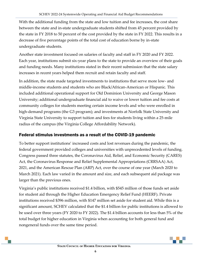With the additional funding from the state and low tuition and fee increases, the cost share between the state and in-state undergraduate students shifted from 45 percent provided by the state in FY 2018 to 50 percent of the cost provided by the state in FY 2022. This results in a decrease of five percentage points of the total cost of education borne by in-state undergraduate students.

Another state investment focused on salaries of faculty and staff in FY 2020 and FY 2022. Each year, institutions submit six-year plans to the state to provide an overview of their goals and funding needs. Many institutions stated in their recent submission that the state salary increases in recent years helped them recruit and retain faculty and staff.

In addition, the state made targeted investments to institutions that serve more low- and middle-income students and students who are Black/African-American or Hispanic. This included additional operational support for Old Dominion University and George Mason University; additional undergraduate financial aid to waive or lower tuition and fee costs at community colleges for students meeting certain income levels and who were enrolled in high-demand programs (the G3 program); and investments at Norfolk State University and Virginia State University to support tuition and fees for students living within a 25-mile radius of the campus (the Virginia College Affordability Network).

#### Federal stimulus investments as a result of the COVID-19 pandemic

To better support institutions' increased costs and lost revenues during the pandemic, the federal government provided colleges and universities with unprecedented levels of funding. Congress passed three statutes, the Coronavirus Aid, Relief, and Economic Security (CARES) Act, the Coronavirus Response and Relief Supplemental Appropriations (CRRSAA) Act, 2021, and the American Rescue Plan (ARP) Act, over the course of one year (March 2020 to March 2021). Each law varied in the amount and size, and each subsequent aid package was larger than the previous ones.

Virginia's public institutions received \$1.4 billion, with \$545 million of those funds set aside for student aid through the Higher Education Emergency Relief Fund (HEERF). Private institutions received \$396 million, with \$147 million set aside for student aid. While this is a significant amount, SCHEV calculated that the \$1.4 billion for public institutions is allowed to be used over three years (FY 2020 to FY 2022). The \$1.4 billion accounts for less than 5% of the total budget for higher education in Virginia when accounting for both general fund and nongeneral funds over the same time period.

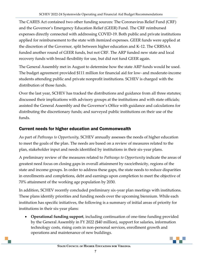The CARES Act contained two other funding sources: The Coronavirus Relief Fund (CRF) and the Governor's Emergency Education Relief (GEER) Fund. The CRF reimbursed expenses directly connected with addressing COVID-19. Both public and private institutions applied for reimbursement to the state with itemized expenses. GEER funds were applied at the discretion of the Governor, split between higher education and K-12. The CRRSAA funded another round of GEER funds, but not CRF. The ARP funded new state and local recovery funds with broad flexibility for use, but did not fund GEER again.

The General Assembly met in August to determine how the state ARP funds would be used. The budget agreement provided \$111 million for financial aid for low- and moderate-income students attending public and private nonprofit institutions. SCHEV is charged with the distribution of those funds.

Over the last year, SCHEV has tracked the distributions and guidance from all three statutes; discussed their implications with advisory groups at the institutions and with state officials; assisted the General Assembly and the Governor's Office with guidance and calculations for distributing the discretionary funds; and surveyed public institutions on their use of the funds.

### Current needs for higher education and Commonwealth

As part of *Pathways to Opportunity,* SCHEV annually assesses the needs of higher education to meet the goals of the plan. The needs are based on a review of measures related to the plan, stakeholder input and needs identified by institutions in their six-year plans.

A preliminary review of the measures related to *Pathways to Opportunity* indicate the areas of greatest need focus on closing gaps in overall attainment by race/ethnicity, regions of the state and income groups. In order to address these gaps, the state needs to reduce disparities in enrollments and completions, debt and earnings upon completion to meet the objective of 70% attainment of the working age population by 2030.

In addition, SCHEV recently concluded preliminary six-year plan meetings with institutions. These plans identify priorities and funding needs over the upcoming biennium. While each institution has specific initiatives, the following is a summary of initial areas of priority for institutions in their six-year plans:

 **Operational funding support**, including continuation of one-time funding provided by the General Assembly in FY 2022 (\$40 million), support for salaries, information technology costs, rising costs in non-personal services, enrollment growth and operations and maintenance of new buildings.

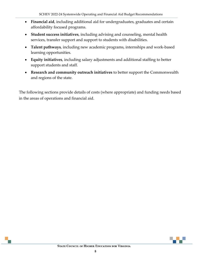- **Financial aid**, including additional aid for undergraduates, graduates and certain affordability focused programs.
- **Student success initiatives**, including advising and counseling, mental health services, transfer support and support to students with disabilities.
- **Talent pathways**, including new academic programs, internships and work-based learning opportunities.
- **Equity initiatives**, including salary adjustments and additional staffing to better support students and staff.
- **Research and community outreach initiatives** to better support the Commonwealth and regions of the state.

<span id="page-9-0"></span>The following sections provide details of costs (where appropriate) and funding needs based in the areas of operations and financial aid.

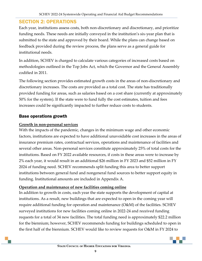# SECTION 2: OPERATIONS

Each year, institutions assess costs, both non-discretionary and discretionary, and prioritize funding needs. These needs are initially conveyed in the institution's six-year plan that is submitted to the state and approved by their board. While the plans can change based on feedback provided during the review process, the plans serve as a general guide for institutional needs.

In addition, SCHEV is charged to calculate various categories of increased costs based on methodologies outlined in the Top Jobs Act, which the Governor and the General Assembly codified in 2011.

The following section provides estimated growth costs in the areas of non-discretionary and discretionary increases. The costs are provided as a total cost. The state has traditionally provided funding for areas, such as salaries based on a cost share (currently at approximately 50% for the system). If the state were to fund fully the cost estimates, tuition and fees increases could be significantly impacted to further reduce costs to students.

#### Base operations growth

#### **Growth in non-personal services**

With the impacts of the pandemic, changes in the minimum wage and other economic factors, institutions are expected to have additional unavoidable cost increases in the areas of insurance premium rates, contractual services, operations and maintenance of facilities and several other areas. Non-personal services constitute approximately 25% of total costs for the institutions. Based on FY 2022 available resources, if costs in these areas were to increase by 2% each year, it would result in an additional \$26 million in FY 2023 and \$52 million in FY 2024 of funding need. SCHEV recommends split funding this area to better support institutions between general fund and nongeneral fund sources to better support equity in funding. Institutional amounts are included in Appendix A.

#### **Operation and maintenance of new facilities coming online**

In addition to growth in costs, each year the state supports the development of capital at institutions. As a result, new buildings that are expected to open in the coming year will require additional funding for operation and maintenance (O&M) of the facilities. SCHEV surveyed institutions for new facilities coming online in 2022-24 and received funding requests for a total of 34 new facilities. The total funding need is approximately \$22.2 million for the biennium; however, SCHEV recommends funding for buildings scheduled to open in the first half of the biennium. SCHEV would like to review requests for O&M in FY 2024 to

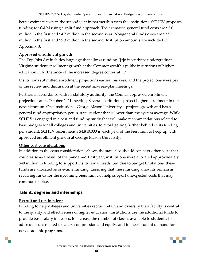better estimate costs in the second year in partnership with the institutions. SCHEV proposes funding for O&M using a split fund approach. The estimated general fund costs are \$3.0 million in the first and \$4.7 million in the second year. Nongeneral funds costs are \$3.5 million in the first and \$5.3 million in the second. Institution amounts are included in Appendix B.

#### **Approved enrollment growth**

The Top Jobs Act includes language that allows funding "[t]o incentivize undergraduate Virginia student enrollment growth at the Commonwealth's public institutions of higher education in furtherance of the increased degree conferral…."

Institutions submitted enrollment projections earlier this year, and the projections were part of the review and discussion at the recent six-year-plan meetings.

Further, in accordance with its statutory authority, the Council approved enrollment projections at its October 2021 meeting. Several institutions project higher enrollment in the next biennium. One institution – George Mason University – projects growth and has a general fund appropriation per in-state student that is lower than the system average. While SCHEV is engaged in a cost and funding study that will make recommendations related to base budgets for all colleges and universities, to avoid getting further behind in its funding per student, SCHEV recommends \$4,840,000 in each year of the biennium to keep up with approved enrollment growth at George Mason University.

#### **Other cost considerations**

In addition to the costs considerations above, the state also should consider other costs that could arise as a result of the pandemic. Last year, institutions were allocated approximately \$40 million in funding to support institutional needs, but due to budget limitations, these funds are allocated as one-time funding. Ensuring that these funding amounts remain as recurring funds for the upcoming biennium can help support unexpected costs that may continue to arise.

### Talent, degrees and internships

#### **Recruit and retain talent**

Funding to help colleges and universities recruit, retain and diversify their faculty is central to the quality and effectiveness of higher education. Institutions use the additional funds to provide base salary increases, to increase the number of classes available to students, to address issues related to salary compression and equity, and to meet student demand for new academic programs.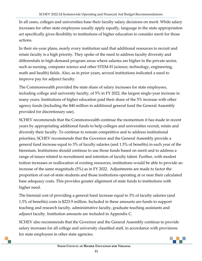In all cases, colleges and universities base their faculty salary decisions on merit. While salary increases for other state employees usually apply equally, language in the state appropriation act specifically gives flexibility to institutions of higher education to consider merit for those actions.

In their six-year plans, nearly every institution said that additional resources to recruit and retain faculty is a high priority. They spoke of the need to address faculty diversity and differentials in high-demand program areas where salaries are higher in the private sector, such as nursing, computer science and other STEM-H (science, technology, engineering, math and health) fields. Also, as in prior years, several institutions indicated a need to improve pay for adjunct faculty.

The Commonwealth provided the state share of salary increases for state employees, including college and university faculty, of 5% in FY 2022, the largest single-year increase in many years. Institutions of higher education paid their share of the 5% increase with other agency funds (including the \$40 million in additional general fund the General Assembly provided for discretionary use).

SCHEV recommends that the Commonwealth continue the momentum it has made in recent years by appropriating additional funds to help colleges and universities recruit, retain and diversify their faculty. To continue to remain competitive and to address institutional priorities, SCHEV recommends that the Governor and the General Assembly provide a general fund increase equal to 3% of faculty salaries (and 1.5% of benefits) in each year of the biennium. Institutions should continue to use those funds based on merit and to address a range of issues related to recruitment and retention of faculty talent. Further, with modest tuition increases or reallocation of existing resources, institutions would be able to provide an increase of the same magnitude (5%) as in FY 2022. Adjustments are made to factor the proportion of out-of-state students and those institutions operating at or near their calculated base adequacy costs. This provides greater alignment of state funds to institutions with higher need.

The biennial cost of providing a general fund increase equal to 3% of faculty salaries (and 1.5% of benefits) costs is \$223.9 million. Included in these amounts are funds to support teaching and research faculty, administrative faculty, graduate teaching assistants and adjunct faculty. Institution amounts are included in Appendix C.

SCHEV also recommends that the Governor and the General Assembly continue to provide salary increases for all college and university classified staff, in accordance with provisions for state employees in other state agencies.

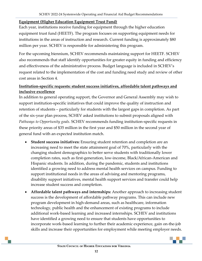#### **Equipment (Higher Education Equipment Trust Fund)**

Each year, institutions receive funding for equipment through the higher education equipment trust fund (HEETF). The program focuses on supporting equipment needs for institutions in the areas of instruction and research. Current funding is approximately \$80 million per year. SCHEV is responsible for administering this program.

For the upcoming biennium, SCHEV recommends maintaining support for HEETF. SCHEV also recommends that staff identify opportunities for greater equity in funding and efficiency and effectiveness of the administrative process. Budget language is included in SCHEV's request related to the implementation of the cost and funding need study and review of other cost areas in Section 4.

#### **Institution-specific requests: student success initiatives, affordable talent pathways and inclusive excellence**

In addition to general operating support, the Governor and General Assembly may wish to support institution-specific initiatives that could improve the quality of instruction and retention of students – particularly for students with the largest gaps in completion. As part of the six-year plan process, SCHEV asked institutions to submit proposals aligned with *Pathways to Opportunity goals*. SCHEV recommends funding institution-specific requests in these priority areas of \$35 million in the first year and \$50 million in the second year of general fund with an expected institution match.

- **Student success initiatives:** Ensuring student retention and completion are an increasing need to meet the state attainment goal of 70%, particularly with the changing student demographics to better serve students with traditionally lower completion rates, such as first-generation, low-income, Black/African-American and Hispanic students. In addition, during the pandemic, students and institutions identified a growing need to address mental health services on campus. Funding to support institutional needs in the areas of advising and mentoring programs, disability support initiatives, mental health support services and transfer could help increase student success and completion.
- **Affordable talent pathways and internships:** Another approach to increasing student success is the development of affordable pathway programs. This can include new program development in high-demand areas, such as healthcare, information technology, public health and the enhancement of existing programs to include additional work-based learning and increased internships. SCHEV and institutions have identified a growing need to ensure that students have opportunities to incorporate work-based learning to further their academic experience, gain on-the-job skills and increase their opportunities for employment while meeting employer needs.

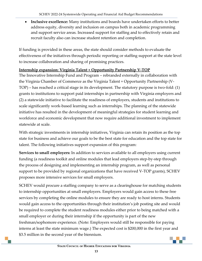**Inclusive excellence:** Many institutions and boards have undertaken efforts to better address equity, diversity and inclusion on campus both in academic programming and support service areas. Increased support for staffing and to effectively retain and recruit faculty also can increase student retention and completion.

If funding is provided in these areas, the state should consider methods to evaluate the effectiveness of the initiatives through periodic reporting or staffing support at the state level to increase collaboration and sharing of promising practices.

#### **Internship expansion: Virginia Talent + Opportunity Partnership V-TOP**

The Innovative Internship Fund and Program – rebranded externally in collaboration with the Virginia Chamber of Commerce as the Virginia Talent + Opportunity Partnership (V-TOP) – has reached a critical stage in its development. The statutory purpose is two-fold: (1) grants to institutions to support paid internships in partnership with Virginia employers and (2) a statewide initiative to facilitate the readiness of employers, students and institutions to scale significantly work-based learning such as internships. The planning of the statewide initiative has resulted in the development of meaningful strategies for student learning and workforce and economic development that now require additional investment to implement statewide at scale.

With strategic investments in internship initiatives, Virginia can retain its position as the top state for business and achieve our goals to be the best state for education and the top state for talent. The following initiatives support expansion of this program:

**Services to small employers:** In addition to services available to all employers using current funding (a readiness toolkit and online modules that lead employers step-by-step through the process of designing and implementing an internship program, as well as personal support to be provided by regional organizations that have received V-TOP grants), SCHEV proposes more intensive services for small employers.

SCHEV would procure a staffing company to serve as a clearinghouse for matching students to internship opportunities at small employers. Employers would gain access to these free services by completing the online modules to ensure they are ready to host interns. Students would gain access to the opportunities through their institution's job posting site and would be required to complete the student readiness modules either prior to being matched with a small employer or during their internship if the opportunity is part of the new freshman/sophomore experience. (Note: Employers would still be responsible for paying interns at least the state minimum wage.) The expected cost is \$200,000 in the first year and \$3.5 million in the second year of the biennium.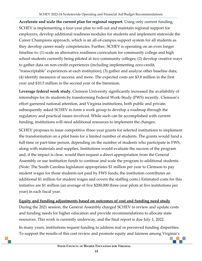**Accelerate and scale the current plan for regional support.** Using only current funding, SCHEV is implementing a four-year plan to roll out and maintain regional support for employers, develop additional readiness modules for students and implement statewide the Career Champions approach, which is an all-of-campus support system for all students as they develop career-ready competencies. Further, SCHEV is operating on an even longer timeline to: (1) scale an alternative readiness curriculum for community college and high school students currently being piloted at two community colleges; (2) develop creative ways to gather data on non-credit experiences (including implementing zero-credit, "transcriptable" experiences at each institution); (3) gather and analyze other baseline data; (4) identify measures of success; and more. The expected costs are \$3.8 million in the first year and \$10.5 million in the second year of the biennium.

**Leverage federal work study.** Clemson University significantly increased the availability of internships for its students by transforming Federal Work-Study (FWS) recently. Clemson's effort garnered national attention, and Virginia institutions, both public and private, subsequently asked SCHEV to form a work group to develop a roadmap through the regulatory and practical issues involved. While such can be accomplished with current funding, institutions will need additional resources to implement the changes.

SCHEV proposes to issue competitive three-year grants for selected institutions to implement the transformation on a pilot basis for a limited number of students. The grants would fund a full-time or part-time person, depending on the number of students who participate in FWS, along with materials and supplies. Institutions would evaluate the success of the program and, if the impact is clear, would then request a direct appropriation from the General Assembly or use institution funds to continue and scale the program to additional students. (Note: The South Carolina legislature appropriates \$1 million per year to Clemson to pay student wages for those students not paid by FWS funds; the institution contributes an additional \$1 million for student wages and covers the staffing costs.) Estimated costs for this initiative are \$1 million (an average of five \$200,000 three-year pilots at five institutions per year) in each fiscal year.

#### **Equity and funding adjustments based on outcomes of cost and funding need study**

During the 2021 session, the General Assembly charged SCHEV to review and update costs and funding needs for higher education and provide recommendations to allocate state resources. This work is currently underway, and the final report is due July 1, 2022.

In many years, institutions request funding to address real or perceived funding disparities. To support the results of this cost review and promote equity and fairness among Virginia's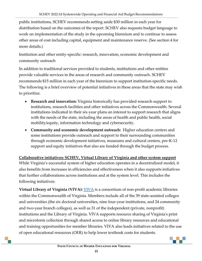public institutions, SCHEV recommends setting aside \$30 million in each year for distribution based on the outcomes of the report. SCHEV also requests budget language to work on implementation of the study in the upcoming biennium and to continue to assess other areas of cost including capital, equipment and maintenance reserve. (See section 4 for more details.)

Institution and other entity-specific: research, innovation, economic development and community outreach

In addition to traditional services provided to students, institutions and other entities provide valuable services in the areas of research and community outreach. SCHEV recommends \$15 million in each year of the biennium to support institution-specific needs. The following is a brief overview of potential initiatives in these areas that the state may wish to prioritize.

- **Research and innovation:** Virginia historically has provided research support to institutions, research facilities and other initiatives across the Commonwealth. Several institutions indicated in their six-year plans an interest to support research that aligns with the needs of the state, including the areas of health and public health, social mobility/equity, information technology and cybersecurity.
- **Community and economic development outreach:** Higher education centers and some institutions provide outreach and support to their surrounding communities through economic development initiatives, museums and cultural centers, pre-K-12 support and equity initiatives that also are funded through the budget process.

**Collaborative initiatives: SCHEV, Virtual Library of Virginia and other system support** 

While Virginia's successful system of higher education operates in a decentralized model, it also benefits from increases in efficiencies and effectiveness when it also supports initiatives that further collaborations across institutions and at the system level. This includes the following initiatives:

**Virtual Library of Virginia ([VIVA](https://vivalib.org/viva/homepage)):** <u>VIVA</u> is a consortium of non-profit academic libraries within the Commonwealth of Virginia. Members include all of the 39 state-assisted colleges and universities (the six doctoral universities, nine four-year institutions, and 24 community and two-year branch colleges), as well as 31 of the independent (private, nonprofit) institutions and the Library of Virginia. VIVA supports resource sharing of Virginia's print and microform collection through shared access to online library resources and educational and training opportunities for member libraries. VIVA also leads initiatives related to the use of open educational resources (OER) to help lower textbook costs for students.

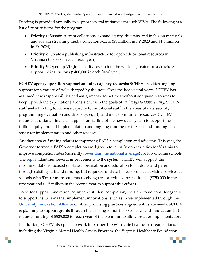Funding is provided annually to support several initiatives through VIVA. The following is a list of priority items for the program:

- **Priority 1:** Sustain current collections, expand equity, diversity and inclusion materials and sustain streaming media collection access (\$1 million in FY 2023 and \$1.3 million in FY 2024)
- Priority 2: Create a publishing infrastructure for open educational resources in Virginia (\$500,000 in each fiscal year)
- **Priority 3:** Open up Virginia faculty research to the world -- greater infrastructure support to institutions (\$400,000 in each fiscal year)

**SCHEV agency operation support and other agency requests:** SCHEV provides ongoing support for a variety of tasks charged by the state. Over the last several years, SCHEV has assumed new responsibilities and assignments, sometimes without adequate resources to keep up with the expectations. Consistent with the goals of *Pathways to Opportunity*, SCHEV staff seeks funding to increase capacity for additional staff in the areas of data security, programming evaluation and diversity, equity and inclusion/human resources. SCHEV requests additional financial support for staffing of the new data system to support the tuition equity and aid implementation and ongoing funding for the cost and funding need study for implementation and other reviews.

Another area of funding relates to improving FAFSA completion and advising. This year, the Governor formed a FAFSA completion workgroup to identify opportunities for Virginia to improve completion rates (currently <u>lower than the national average</u>) for low-income schools. The [report](https://www.education.virginia.gov/media/governorvirginiagov/secretary-of-education/pdf/FAFSA-Completion-Work-Group-Report-Final-and-Roster.pdf) identified several improvements to the system. SCHEV will support the recommendations focused on state coordination and education to students and parents through existing staff and funding, but requests funds to increase college advising services at schools with 50% or more students receiving free or reduced priced lunch. (\$750,000 in the first year and \$1.5 million in the second year to support this effort.)

To better support innovation, equity and student completion, the state could consider grants to support institutions that implement innovations, such as those implemented through the [University Innovation Alliance](https://theuia.org/sites/default/files/2021-06/Innovating-Together_Results-from-the-UIA_3.pdf) or other promising practices aligned with state needs. SCHEV is planning to support grants through the existing Funds for Excellence and Innovation, but requests funding of \$525,000 for each year of the biennium to allow broader implementation.

In addition, SCHEV also plans to work in partnership with state healthcare organizations, including the Virginia Mental Health Access Program, the Virginia Healthcare Foundation

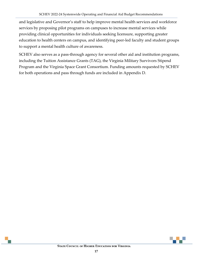and legislative and Governor's staff to help improve mental health services and workforce services by proposing pilot programs on campuses to increase mental services while providing clinical opportunities for individuals seeking licensure, supporting greater education to health centers on campus, and identifying peer-led faculty and student groups to support a mental health culture of awareness.

SCHEV also serves as a pass-through agency for several other aid and institution programs, including the Tuition Assistance Grants (TAG), the Virginia Military Survivors Stipend Program and the Virginia Space Grant Consortium. Funding amounts requested by SCHEV for both operations and pass through funds are included in Appendix D.

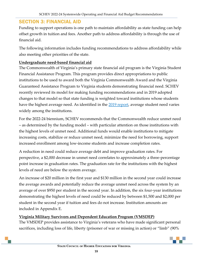## <span id="page-19-0"></span>SECTION 3: FINANCIAL AID

Funding to support operations is one path to maintain affordability as state funding can help offset growth in tuition and fees. Another path to address affordability is through the use of financial aid.

The following information includes funding recommendations to address affordability while also meeting other priorities of the state.

#### **Undergraduate need-based financial aid**

The Commonwealth of Virginia's primary state financial aid program is the Virginia Student Financial Assistance Program. This program provides direct appropriations to public institutions to be used to award both the Virginia Commonwealth Award and the Virginia Guaranteed Assistance Program to Virginia students demonstrating financial need. SCHEV recently reviewed its model for making funding recommendations and in 2019 adopted changes to that model so that state funding is weighted toward institutions whose students have the highest average need. As identified in the [2019 report,](https://schev.edu/docs/default-source/reports-and-studies/2020/financialaidstudy2020final.pdf) average student need varies widely among the institutions.

For the 2022-24 biennium, SCHEV recommends that the Commonwealth reduce unmet need – as determined by the funding model – with particular attention on those institutions with the highest levels of unmet need. Additional funds would enable institutions to mitigate increasing costs, stabilize or reduce unmet need, minimize the need for borrowing, support increased enrollment among low-income students and increase completion rates.

A reduction in need could reduce average debt and improve graduation rates. For perspective, a \$2,000 decrease in unmet need correlates to approximately a three-percentage point increase in graduation rates. The graduation rate for the institutions with the highest levels of need are below the system average.

An increase of \$20 million in the first year and \$130 million in the second year could increase the average awards and potentially reduce the average unmet need across the system by an average of over \$950 per student in the second year. In addition, the six four-year institutions demonstrating the highest levels of need could be reduced by between \$1,500 and \$2,000 per student in the second year if tuition and fees do not increase. Institution amounts are included in Appendix E.

#### **Virginia Military Survivors and Dependent Education Program (VMSDEP)**

The VMSDEP provides assistance to Virginia's veterans who have made significant personal sacrifices, including loss of life, liberty (prisoner of war or missing in action) or "limb" (90%

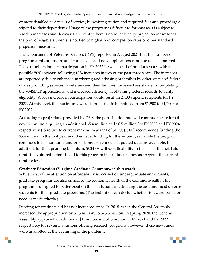or more disabled as a result of service) by waiving tuition and required fees and providing a stipend to their dependents. Usage of the program is difficult to forecast as it is subject to sudden increases and decreases. Currently there is no reliable early projection indicator as the pool of eligible students is not tied to high school completion rates or other standard projection measures.

The Department of Veterans Services (DVS) reported in August 2021 that the number of program applications are at historic levels and new applications continue to be submitted. These numbers indicate participation in FY 2022 is well ahead of previous years with a possible 50% increase following 13% increases in two of the past three years. The increases are reportedly due to enhanced marketing and advising of families by other state and federal offices providing services to veterans and their families, increased assistance in completing the VMSDEP applications, and increased efficiency in obtaining federal records to verify eligibility. A 50% increase in participation would result in 2,400 stipend recipients for FY 2022. At this level, the maximum award is projected to be reduced from \$1,900 to \$1,200 for FY 2022.

According to projections provided by DVS, the participation rate will continue to rise into the next biennium requiring an additional \$5.4 million and \$6.5 million for FY 2023 and FY 2024 respectively (to return to current maximum award of \$1,900). Staff recommends funding the \$5.4 million in the first year and then level funding for the second year while the program continues to be monitored and projections are refined as updated data are available. In addition, for the upcoming biennium, SCHEV will seek flexibility in the use of financial aid funds to avoid reductions in aid to this program if enrollments increase beyond the current funding level.

#### **Graduate Education (Virginia Graduate Commonwealth Award)**

While most of the attention on affordability is focused on undergraduate enrollments, graduate programs are also critical to the economic health of the Commonwealth. This program is designed to better position the institutions in attracting the best and most diverse students for their graduate programs. (The institution can decide whether to award based on need or merit criteria.)

Funding for graduate aid has not increased since FY 2018, when the General Assembly increased the appropriation by \$1.3 million, to \$23.3 million. In spring 2020, the General Assembly approved an additional \$1 million and \$1.5 million in FY 2021 and FY 2022 respectively for seven institutions offering research programs; however, these new funds were unallotted at the beginning of the pandemic.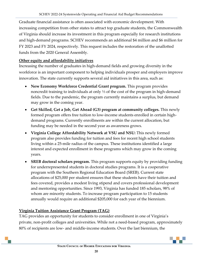Graduate financial assistance is often associated with economic development. With increasing competition from other states to attract top graduate students, the Commonwealth of Virginia should increase its investment in this program especially for research institutions and high-demand programs. SCHEV recommends an additional \$4 million and \$6 million for FY 2023 and FY 2024, respectively. This request includes the restoration of the unallotted funds from the 2020 General Assembly.

#### **Other equity and affordability initiatives**

Increasing the number of graduates in high-demand fields and growing diversity in the workforce is an important component to helping individuals prosper and employers improve innovation. The state currently supports several aid initiatives in this area, such as:

- **New Economy Workforce Credential Grant program.** This program provides noncredit training to individuals at only ⅓ of the cost of the program in high-demand fields. Due to the pandemic, the program currently maintains a surplus, but demand may grow in the coming year.
- **Get Skilled, Get a Job, Get Ahead (G3) program at community colleges.** This newly formed program offers free tuition to low-income students enrolled in certain highdemand programs. Currently enrollments are within the current allocation, but funding may be needed in the second year as awareness grows.
- **Virginia College Affordability Network at VSU and NSU:** This newly formed program also provides funding for tuition and fees for recent high school students living within a 25-mile radius of the campus. These institutions identified a large interest and expected enrollment in these programs which may grow in the coming years.
- **SREB doctoral scholars program.** This program supports equity by providing funding for underrepresented students in doctoral studies programs. It is a cooperative program with the Southern Regional Education Board (SREB). Current state allocations of \$25,000 per student ensures that these students have their tuition and fees covered, provides a modest living stipend and covers professional development and mentoring opportunities. Since 1993, Virginia has funded 185 scholars, 98% of whom are minority students. To increase program participation to 15 students annually would require an additional \$205,000 for each year of the biennium.

#### **Virginia Tuition Assistance Grant Program (TAG)**

TAG provides an opportunity for students to consider enrollment in one of Virginia's private, non-profit colleges and universities. While not a need-based program, approximately 80% of recipients are low- and middle-income students. Over the last biennium, the

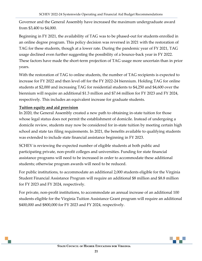Governor and the General Assembly have increased the maximum undergraduate award from \$3,400 to \$4,000.

Beginning in FY 2021, the availability of TAG was to be phased-out for students enrolled in an online degree program. This policy decision was reversed in 2021 with the restoration of TAG for these students, though at a lower rate. During the pandemic year of FY 2021, TAG usage declined even further suggesting the possibility of a bounce-back year in FY 2022. These factors have made the short-term projection of TAG usage more uncertain than in prior years.

With the restoration of TAG to online students, the number of TAG recipients is expected to increase for FY 2022 and then level off for the FY 2022-24 biennium. Holding TAG for online students at \$2,000 and increasing TAG for residential students to \$4,250 and \$4,600 over the biennium will require an additional \$1.3 million and \$7.64 million for FY 2023 and FY 2024, respectively. This includes an equivalent increase for graduate students.

#### **Tuition equity and aid provision**

In 2020, the General Assembly created a new path to obtaining in-state tuition for those whose legal status does not permit the establishment of domicile. Instead of undergoing a domicile review, students may now be considered for in-state tuition by meeting certain high school and state tax filing requirements. In 2021, the benefits available to qualifying students was extended to include state financial assistance beginning in FY 2023.

SCHEV is reviewing the expected number of eligible students at both public and participating private, non-profit colleges and universities. Funding for state financial assistance programs will need to be increased in order to accommodate these additional students; otherwise program awards will need to be reduced.

For public institutions, to accommodate an additional 2,000 students eligible for the Virginia Student Financial Assistance Program will require an additional \$8 million and \$8.8 million for FY 2023 and FY 2024, respectively.

For private, non-profit institutions, to accommodate an annual increase of an additional 100 students eligible for the Virginia Tuition Assistance Grant program will require an additional \$400,000 and \$800,000 for FY 2023 and FY 2024, respectively.

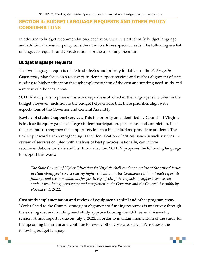# <span id="page-23-0"></span>SECTION 4: BUDGET LANGUAGE REQUESTS AND OTHER POLICY CONSIDERATIONS

In addition to budget recommendations, each year, SCHEV staff identify budget language and additional areas for policy consideration to address specific needs. The following is a list of language requests and considerations for the upcoming biennium.

#### Budget language requests

The two language requests relate to strategies and priority initiatives of the *Pathways to Opportunity* plan focus on a review of student support services and further alignment of state funding to higher education through implementation of the cost and funding need study and a review of other cost areas.

SCHEV staff plans to pursue this work regardless of whether the language is included in the budget; however, inclusion in the budget helps ensure that these priorities align with expectations of the Governor and General Assembly.

**Review of student support services.** This is a priority area identified by Council. If Virginia is to close its equity gaps in college-student participation, persistence and completion, then the state must strengthen the support services that its institutions provide to students. The first step toward such strengthening is the identification of critical issues in such services. A review of services coupled with analysis of best practices nationally, can inform recommendations for state and institutional action. SCHEV proposes the following language to support this work:

*The State Council of Higher Education for Virginia shall conduct a review of the critical issues in student-support services facing higher education in the Commonwealth and shall report its findings and recommendations for positively affecting the impacts of support services on student well-being, persistence and completion to the Governor and the General Assembly by November 1, 2022.*

#### **Cost study implementation and review of equipment, capital and other program areas.**

Work related to the Council strategy of alignment of funding resources is underway through the existing cost and funding need study approved during the 2021 General Assembly session. A final report is due on July 1, 2022. In order to maintain momentum of the study for the upcoming biennium and continue to review other costs areas, SCHEV requests the following budget language:

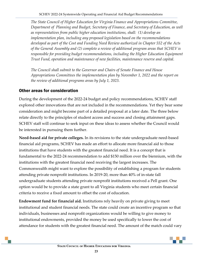*The State Council of Higher Education for Virginia Finance and Appropriations Committee, Department of Planning and Budget, Secretary of Finance, and Secretary of Education, as well as representatives from public higher education institutions, shall: (1) develop an implementation plan, including any proposed legislation based on the recommendations developed as part of the Cost and Funding Need Review authorized in Chapter 552 of the Acts of the General Assembly and (2) complete a review of additional program areas that SCHEV is responsible for providing budget recommendations, including the Higher Education Equipment Trust Fund, operation and maintenance of new facilities, maintenance reserve and capital.* 

*The Council shall submit to the Governor and Chairs of Senate Finance and House Appropriations Committees the implementation plan by November 1, 2022 and the report on the review of additional programs areas by July 1, 2023.*

#### Other areas for consideration

During the development of the 2022-24 budget and policy recommendations, SCHEV staff explored other innovations that are not included in the recommendations. Yet they bear some consideration and might become part of a detailed proposal at a later date. The three below relate directly to the principles of student access and success and closing attainment gaps. SCHEV staff will continue to seek input on these ideas to assess whether the Council would be interested in pursuing them further.

**Need-based aid for private colleges.** In its revisions to the state undergraduate need-based financial aid programs, SCHEV has made an effort to allocate more financial aid to those institutions that have students with the greatest financial need. It is a concept that is fundamental to the 2022-24 recommendation to add \$150 million over the biennium, with the institutions with the greatest financial need receiving the largest increases. The Commonwealth might want to explore the possibility of establishing a program for students attending private nonprofit institutions. In 2019-20, more than 40% of in-state fall undergraduate students attending private nonprofit institutions received a Pell grant. One option would be to provide a state grant to all Virginia students who meet certain financial criteria to receive a fixed amount to offset the cost of education.

**Endowment fund for financial aid.** Institutions rely heavily on private giving to meet institutional and student financial needs. The state could create an incentive program so that individuals, businesses and nonprofit organizations would be willing to give money to institutional endowments, provided the money be used specifically to lower the cost of attendance for students with the greatest financial need. The amount of the match could vary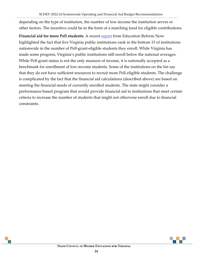depending on the type of institution, the number of low-income the institution serves or other factors. The incentive could be in the form of a matching fund for eligible contributions.

Financial aid for more Pell students. A recent [report](https://edreformnow.org/blog/de-facto-segregation-in-virginias-higher-ed-system/) from Education Reform Now highlighted the fact that five Virginia public institutions rank in the bottom 15 of institutions nationwide in the number of Pell-grant-eligible students they enroll. While Virginia has made some progress, Virginia's public institutions still enroll below the national averages. While Pell-grant status is not the only measure of income, it is nationally accepted as a benchmark for enrollment of low-income students. Some of the institutions on the list say that they do not have sufficient resources to recruit more Pell-eligible students. The challenge is complicated by the fact that the financial aid calculations (described above) are based on meeting the financial needs of currently enrolled students. The state might consider a performance-based program that would provide financial aid to institutions that meet certain criteria to increase the number of students that might not otherwise enroll due to financial constraints.

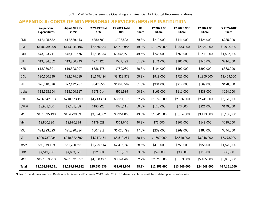# APPENDIX A: COSTS OF NONPERSONAL SERVICES (NPS) BY INSTITUTION

<span id="page-26-0"></span>

|              | <b>Nonpersonal</b><br><b>Expenditures</b> | <b>Adjust NPS FY</b><br>2022 | <b>FY 2023 Total</b><br><b>NPS</b> | FY 2024 Total<br><b>NPS</b> | <b>GF</b><br>share | FY 2023 GF<br><b>Share</b> | <b>FY 2023 NGF</b><br><b>Share</b> | FY 2024 GF<br><b>Share</b> | <b>FY 2024 NGF</b><br><b>Share</b> |
|--------------|-------------------------------------------|------------------------------|------------------------------------|-----------------------------|--------------------|----------------------------|------------------------------------|----------------------------|------------------------------------|
| CNU          | \$17,195,532                              | \$17,539,443                 | \$350,789                          | \$708,593                   | 59.8%              | \$210,000                  | \$141,000                          | \$424,000                  | \$285,000                          |
| GMU          | \$140,239,408                             | \$143,044,196                | \$2,860,884                        | \$5,778,986                 | 49.9%              | \$1,428,000                | \$1,433,000                        | \$2,884,000                | \$2,895,000                        |
| <b>JMU</b>   | \$73,923,211                              | \$75,401,676                 | \$1,508,034                        | \$3,046,228                 | 49.6%              | \$748,000                  | \$760,000                          | \$1,511,000                | \$1,535,000                        |
| LU           | \$13,584,552                              | \$13,856,243                 | \$277,125                          | \$559,792                   | 61.8%              | \$171,000                  | \$106,000                          | \$346,000                  | \$214,000                          |
| <b>NSU</b>   | \$18,930,301                              | \$19,308,907                 | \$386,178                          | \$780,080                   | 50.3%              | \$194,000                  | \$192,000                          | \$392,000                  | \$388,000                          |
| <b>ODU</b>   | \$80,660,995                              | \$82,274,215                 | \$1,645,484                        | \$3,323,878                 | 55.8%              | \$918,000                  | \$727,000                          | \$1,855,000                | \$1,469,000                        |
| <b>RU</b>    | \$26,610,576                              | \$27,142,787                 | \$542,856                          | \$1,096,569                 | 61.0%              | \$331,000                  | \$212,000                          | \$669,000                  | \$428,000                          |
| <b>UMW</b>   | \$13,628,154                              | \$13,900,717                 | \$278,014                          | \$561,589                   | 60.1%              | \$167,000                  | \$111,000                          | \$338,000                  | \$224,000                          |
| <b>UVA</b>   | \$206,542,313                             | \$210,673,159                | \$4,213,463                        | \$8,511,196                 | 32.2%              | \$1,357,000                | \$2,856,000                        | \$2,741,000                | \$5,770,000                        |
| <b>UVAW</b>  | \$8,981,636                               | \$9,161,268                  | \$183,225                          | \$370,115                   | 59.8%              | \$110,000                  | \$73,000                           | \$221,000                  | \$149,000                          |
| VCU          | \$151,695,193                             | \$154,729,097                | \$3,094,582                        | \$6,251,056                 | 49.8%              | \$1,541,000                | \$1,554,000                        | \$3,113,000                | \$3,138,000                        |
| VMI          | \$8,800,386                               | \$8,976,394                  | \$179,528                          | \$362,646                   | 40.8%              | \$73,000                   | \$107,000                          | \$148,000                  | \$215,000                          |
| VSU          | \$24,893,023                              | \$25,390,884                 | \$507,818                          | \$1,025,792                 | 47.0%              | \$239,000                  | \$269,000                          | \$482,000                  | \$544,000                          |
| VT           | \$206,737,934                             | \$210,872,692                | \$4,217,454                        | \$8,519,257                 | 38.1%              | \$1,607,000                | \$2,610,000                        | \$3,246,000                | \$5,273,000                        |
| W&M          | \$60,079,109                              | \$61,280,691                 | \$1,225,614                        | \$2,475,740                 | 38.6%              | \$473,000                  | \$753,000                          | \$956,000                  | \$1,520,000                        |
| <b>RBC</b>   | \$4,512,766                               | \$4,603,021                  | \$92,060                           | \$185,962                   | 63.6%              | \$59,000                   | \$33,000                           | \$118,000                  | \$68,000                           |
| <b>VCCS</b>  | \$197,569,953                             | \$201,521,352                | \$4,030,427                        | \$8,141,463                 | 62.7%              | \$2,527,000                | \$1,503,000                        | \$5,105,000                | \$3,036,000                        |
| <b>Total</b> | \$1,254,585,041                           | \$1,279,676,742              | \$25,593,535                       | \$51,698,940                | 48.7%              | \$12,153,000               | \$13,440,000                       | \$24,549,000               | \$27,151,000                       |

Notes: Expenditures are from Cardinal submissions. GF share is 2019 data. 2021 GF share calculations will be updated prior to submission.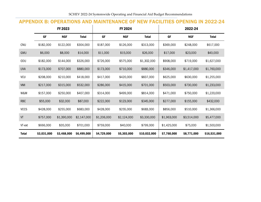# APPENDIX B: OPERATIONS AND MAINTENANCE OF NEW FACILITIES OPENING IN 2022-24

<span id="page-27-0"></span>

|              |             | FY 2023     |              |             | FY 2024     |              |             | 2022-24     |              |
|--------------|-------------|-------------|--------------|-------------|-------------|--------------|-------------|-------------|--------------|
|              | <b>GF</b>   | <b>NGF</b>  | <b>Total</b> | <b>GF</b>   | <b>NGF</b>  | <b>Total</b> | <b>GF</b>   | <b>NGF</b>  | <b>Total</b> |
| <b>CNU</b>   | \$182,000   | \$122,000   | \$304,000    | \$187,000   | \$126,000   | \$313,000    | \$369,000   | \$248,000   | \$617,000    |
| GMU          | \$6,000     | \$8,000     | \$14,000     | \$11,000    | \$15,000    | \$26,000     | \$17,000    | \$23,000    | \$40,000     |
| <b>ODU</b>   | \$182,000   | \$144,000   | \$326,000    | \$726,000   | \$575,000   | \$1,302,000  | \$908,000   | \$719,000   | \$1,627,000  |
| <b>UVA</b>   | \$173,000   | \$707,000   | \$880,000    | \$173,000   | \$710,000   | \$880,000    | \$346,000   | \$1,417,000 | \$1,760,000  |
| <b>VCU</b>   | \$208,000   | \$210,000   | \$418,000    | \$417,000   | \$420,000   | \$837,000    | \$625,000   | \$630,000   | \$1,255,000  |
| VMI          | \$217,000   | \$315,000   | \$532,000    | \$286,000   | \$415,000   | \$701,000    | \$503,000   | \$730,000   | \$1,233,000  |
| W&M          | \$157,000   | \$250,000   | \$407,000    | \$314,000   | \$499,000   | \$814,000    | \$471,000   | \$750,000   | \$1,220,000  |
| <b>RBC</b>   | \$55,000    | \$32,000    | \$87,000     | \$222,000   | \$123,000   | \$345,000    | \$277,000   | \$155,000   | \$432,000    |
| <b>VCCS</b>  | \$428,000   | \$255,000   | \$683,000    | \$428,000   | \$255,000   | \$683,000    | \$856,000   | \$510,000   | \$1,366,000  |
| VT           | \$757,000   | \$1,390,000 | \$2,147,000  | \$1,206,000 | \$2,124,000 | \$3,330,000  | \$1,963,000 | \$3,514,000 | \$5,477,000  |
| VT-ext       | \$666,000   | \$35,000    | \$701,000    | \$759,000   | \$40,000    | \$799,000    | \$1,425,000 | \$75,000    | \$1,500,000  |
| <b>Total</b> | \$3,031,000 | \$3,468,000 | \$6,499,000  | \$4,729,000 | \$5,303,000 | \$10,032,000 | \$7,760,000 | \$8,771,000 | \$16,531,000 |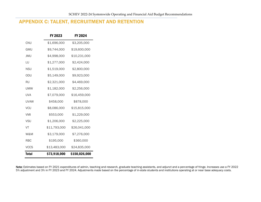# APPENDIX C: TALENT, RECRUITMENT AND RETENTION

<span id="page-28-0"></span>

|              | FY 2023      | FY 2024       |
|--------------|--------------|---------------|
| CNU          | \$1,696,000  | \$3,205,000   |
| GMU          | \$9,744,000  | \$19,600,000  |
| <b>JMU</b>   | \$4,998,000  | \$10,231,000  |
| LU           | \$1,277,000  | \$2,424,000   |
| NSU          | \$1,519,000  | \$2,800,000   |
| ODU          | \$5,149,000  | \$9,923,000   |
| RU           | \$2,321,000  | \$4,469,000   |
| <b>UMW</b>   | \$1,182,000  | \$2,256,000   |
| <b>UVA</b>   | \$7,079,000  | \$16,459,000  |
| <b>UVAW</b>  | \$458,000    | \$878,000     |
| <b>VCU</b>   | \$8,086,000  | \$15,815,000  |
| <b>VMI</b>   | \$553,000    | \$1,229,000   |
| <b>VSU</b>   | \$1,206,000  | \$2,225,000   |
| VT           | \$11,793,000 | \$26,041,000  |
| W&M          | \$3,179,000  | \$7,276,000   |
| <b>RBC</b>   | \$195,000    | \$360,000     |
| <b>VCCS</b>  | \$13,483,000 | \$24,835,000  |
| <b>Total</b> | \$73,918,000 | \$150,026,000 |

Note: Estimates based on FY 2021 expenditures of admin, teaching and research, graduate teaching assistants, and adjunct and a percentage of fringe. Increases use a FY 2022 5% adjustment and 3% in FY 2023 and FY 2024. Adjustments made based on the percentage of in-state students and institutions operating at or near base adequacy costs.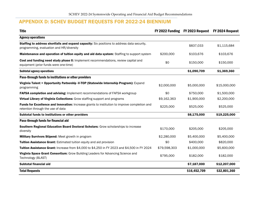# APPENDIX D: SCHEV BUDGET REQUESTS FOR 2022-24 BIENNIUM

<span id="page-29-0"></span>

| <b>Title</b>                                                                                                                            |              | FY 2022 Funding FY 2023 Request | FY 2024 Request |
|-----------------------------------------------------------------------------------------------------------------------------------------|--------------|---------------------------------|-----------------|
| <b>Agency operations</b>                                                                                                                |              |                                 |                 |
| Staffing to address shortfalls and expand capacity: Six positions to address data security,<br>programming, evaluation and HR/diversity |              | \$837,033                       | \$1,115,684     |
| Maintenance and operation of tuition equity and aid data system: Staffing to support system                                             | \$200,000    | \$103,676                       | \$103,676       |
| Cost and funding need study phase II: Implement recommendations, review capital and<br>equipment (prior funds were one-time)            | \$0          | \$150,000                       | \$150,000       |
| <b>Subtotal agency operations</b>                                                                                                       |              | \$1,090,709                     | \$1,369,360     |
| Pass-through funds to institutions or other providers                                                                                   |              |                                 |                 |
| Virginia Talent + Opportunity Partnership -V-TOP (Statewide Internship Program): Expand<br>programming                                  | \$2,000,000  | \$5,000,000                     | \$15,000,000    |
| FAFSA completion and advising: Implement recommendations of FAFSA workgroup                                                             | \$0          | \$750,000                       | \$1,500,000     |
| Virtual Library of Virginia Collections: Grow staffing support and programs                                                             | \$9,162,363  | \$1,900,000                     | \$2,200,000     |
| Funds for Excellence and Innovation: Increase grants to institution to improve completion and<br>retention through the use of data      | \$225,000    | \$525,000                       | \$525,000       |
| Subtotal funds to institutions or other providers                                                                                       |              | \$8,175,000                     | \$19,225,000    |
| Pass-through funds for financial aid                                                                                                    |              |                                 |                 |
| Southern Regional Education Board Doctoral Scholars: Grow scholarships to increase<br>diversity                                         | \$170,000    | \$205,000                       | \$205,000       |
| Military Survivors Stipend: Meet growth in program                                                                                      | \$2,280,000  | \$5,400,000                     | \$5,400,000     |
| Tuition Assistance Grant: Estimated tuition equity and aid provision                                                                    | \$0          | \$400,000                       | \$820,000       |
| Tuition Assistance Grant: Increase from \$4,000 to \$4,250 in FY 2023 and \$4,500 in FY 2024                                            | \$79,598,303 | \$1,000,000                     | \$5,600,000     |
| Virginia Space Grant Consortium: Grow Building Leaders for Advancing Science and<br>Technology (BLAST)                                  | \$795,000    | \$182,000                       | \$182,000       |
| Subtotal financial aid                                                                                                                  |              | \$7,187,000                     | \$12,207,000    |
| <b>Total Requests</b>                                                                                                                   |              | \$16,452,709                    | \$32,801,360    |